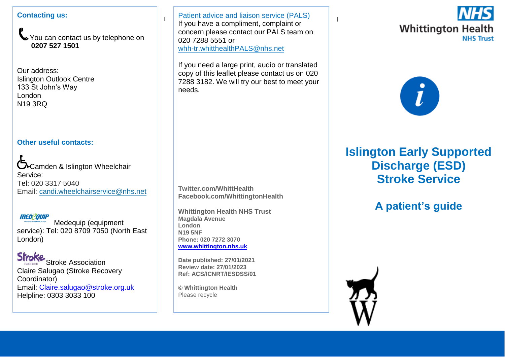#### **Contacting us:**

You can contact us by telephone on **0207 527 1501**

Our address: Islington Outlook Centre 133 St John's Way London N19 3RQ

### **Other useful contacts:**

Coamden & Islington Wheelchair Service: Tel: 020 3317 5040 Email: [candi.wheelchairservice@nhs.net](mailto:candi.wheelchairservice@nhs.net)

### men2ouiP

Medequip (equipment service): Tel: 020 8709 7050 (North East London)

**Stroke** Stroke Association Claire Salugao (Stroke Recovery Coordinator) Email: [Claire.salugao@stroke.org.uk](mailto:Claire.salugao@stroke.org.uk) Helpline: 0303 3033 100

I If you have a compliment, complaint or  $\begin{bmatrix} 1 & x \\ y & z \end{bmatrix}$ Patient advice and liaison service (PALS) concern please contact our PALS team on 020 7288 5551 or [whh-tr.whitthealthPALS@nhs.net](mailto:whh-tr.whitthealthPALS@nhs.net)

If you need a large print, audio or translated copy of this leaflet please contact us on 020 7288 3182. We will try our best to meet your needs.

**Twitter.com/WhittHealth Facebook.com/WhittingtonHealth**

**Whittington Health NHS Trust Magdala Avenue London N19 5NF Phone: 020 7272 3070 [www.whittington.nhs.uk](http://www.whittington.nhs.uk/)**

**Date published: 27/01/2021 Review date: 27/01/2023 Ref: ACS/ICNRT/IESDSS/01**

**© Whittington Health** Please recycle





# **Islington Early Supported Discharge (ESD) Stroke Service**

# **A patient's guide**